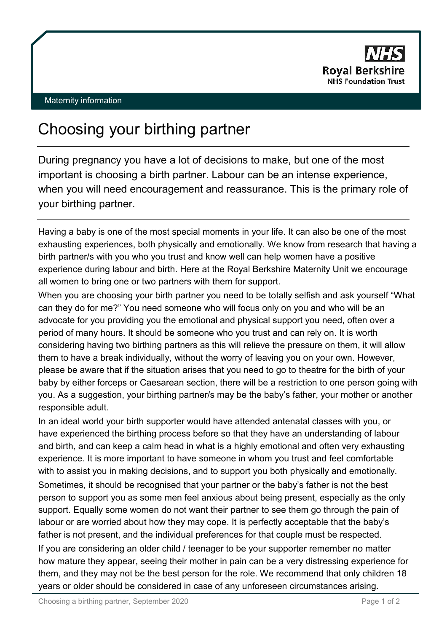

## Maternity information

## Choosing your birthing partner

During pregnancy you have a lot of decisions to make, but one of the most important is choosing a birth partner. Labour can be an intense experience, when you will need encouragement and reassurance. This is the primary role of your birthing partner.

Having a baby is one of the most special moments in your life. It can also be one of the most exhausting experiences, both physically and emotionally. We know from research that having a birth partner/s with you who you trust and know well can help women have a positive experience during labour and birth. Here at the Royal Berkshire Maternity Unit we encourage all women to bring one or two partners with them for support.

When you are choosing your birth partner you need to be totally selfish and ask yourself "What can they do for me?" You need someone who will focus only on you and who will be an advocate for you providing you the emotional and physical support you need, often over a period of many hours. It should be someone who you trust and can rely on. It is worth considering having two birthing partners as this will relieve the pressure on them, it will allow them to have a break individually, without the worry of leaving you on your own. However, please be aware that if the situation arises that you need to go to theatre for the birth of your baby by either forceps or Caesarean section, there will be a restriction to one person going with you. As a suggestion, your birthing partner/s may be the baby's father, your mother or another responsible adult.

In an ideal world your birth supporter would have attended antenatal classes with you, or have experienced the birthing process before so that they have an understanding of labour and birth, and can keep a calm head in what is a highly emotional and often very exhausting experience. It is more important to have someone in whom you trust and feel comfortable with to assist you in making decisions, and to support you both physically and emotionally. Sometimes, it should be recognised that your partner or the baby's father is not the best person to support you as some men feel anxious about being present, especially as the only support. Equally some women do not want their partner to see them go through the pain of labour or are worried about how they may cope. It is perfectly acceptable that the baby's father is not present, and the individual preferences for that couple must be respected. If you are considering an older child / teenager to be your supporter remember no matter how mature they appear, seeing their mother in pain can be a very distressing experience for them, and they may not be the best person for the role. We recommend that only children 18 years or older should be considered in case of any unforeseen circumstances arising.